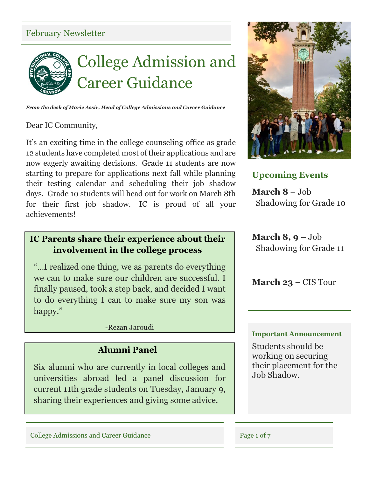### February Newsletter



*From the desk of Marie Assir, Head of College Admissions and Career Guidance*

#### Dear IC Community,

It's an exciting time in the college counseling office as grade 12 students have completed most of their applications and are now eagerly awaiting decisions. Grade 11 students are now starting to prepare for applications next fall while planning their testing calendar and scheduling their job shadow days. Grade 10 students will head out for work on March 8th for their first job shadow. IC is proud of all your achievements!

### **IC Parents share their experience about their involvement in the college process**

"…I realized one thing, we as parents do everything we can to make sure our children are successful. I finally paused, took a step back, and decided I want to do everything I can to make sure my son was happy."

-Rezan Jaroudi

### **Alumni Panel**

Six alumni who are currently in local colleges and universities abroad led a panel discussion for current 11th grade students on Tuesday, January 9, sharing their experiences and giving some advice.



### **Upcoming Events**

**March 8** – Job Shadowing for Grade 10

**March 8, 9** – Job Shadowing for Grade 11

**March 23** – CIS Tour

#### **Important Announcement**

Students should be working on securing their placement for the Job Shadow.

College Admissions and Career Guidance Page 1 of 7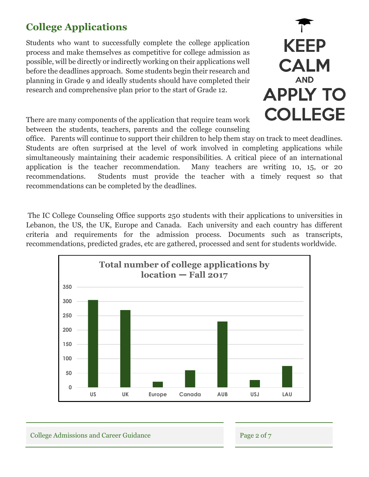# **College Applications**

Students who want to successfully complete the college application process and make themselves as competitive for college admission as possible, will be directly or indirectly working on their applications well before the deadlines approach. Some students begin their research and planning in Grade 9 and ideally students should have completed their research and comprehensive plan prior to the start of Grade 12.



There are many components of the application that require team work between the students, teachers, parents and the college counseling

office. Parents will continue to support their children to help them stay on track to meet deadlines. Students are often surprised at the level of work involved in completing applications while simultaneously maintaining their academic responsibilities. A critical piece of an international application is the teacher recommendation. Many teachers are writing 10, 15, or 20 recommendations. Students must provide the teacher with a timely request so that recommendations can be completed by the deadlines.

The IC College Counseling Office supports 250 students with their applications to universities in Lebanon, the US, the UK, Europe and Canada. Each university and each country has different criteria and requirements for the admission process. Documents such as transcripts, recommendations, predicted grades, etc are gathered, processed and sent for students worldwide.



College Admissions and Career Guidance Page 2 of 7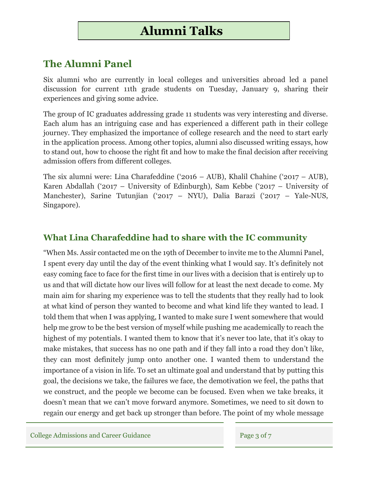# **Alumni Talks**

## **The Alumni Panel**

Six alumni who are currently in local colleges and universities abroad led a panel discussion for current 11th grade students on Tuesday, January 9, sharing their experiences and giving some advice.

The group of IC graduates addressing grade 11 students was very interesting and diverse. Each alum has an intriguing case and has experienced a different path in their college journey. They emphasized the importance of college research and the need to start early in the application process. Among other topics, alumni also discussed writing essays, how to stand out, how to choose the right fit and how to make the final decision after receiving admission offers from different colleges.

The six alumni were: Lina Charafeddine ('2016 – AUB), Khalil Chahine ('2017 – AUB), Karen Abdallah ('2017 – University of Edinburgh), Sam Kebbe ('2017 – University of Manchester), Sarine Tutunjian ('2017 – NYU), Dalia Barazi ('2017 – Yale-NUS, Singapore).

### **What Lina Charafeddine had to share with the IC community**

"When Ms. Assir contacted me on the 19th of December to invite me to the Alumni Panel, I spent every day until the day of the event thinking what I would say. It's definitely not easy coming face to face for the first time in our lives with a decision that is entirely up to us and that will dictate how our lives will follow for at least the next decade to come. My main aim for sharing my experience was to tell the students that they really had to look at what kind of person they wanted to become and what kind life they wanted to lead. I told them that when I was applying, I wanted to make sure I went somewhere that would help me grow to be the best version of myself while pushing me academically to reach the highest of my potentials. I wanted them to know that it's never too late, that it's okay to make mistakes, that success has no one path and if they fall into a road they don't like, they can most definitely jump onto another one. I wanted them to understand the importance of a vision in life. To set an ultimate goal and understand that by putting this goal, the decisions we take, the failures we face, the demotivation we feel, the paths that we construct, and the people we become can be focused. Even when we take breaks, it doesn't mean that we can't move forward anymore. Sometimes, we need to sit down to regain our energy and get back up stronger than before. The point of my whole message

College Admissions and Career Guidance Page 3 of 7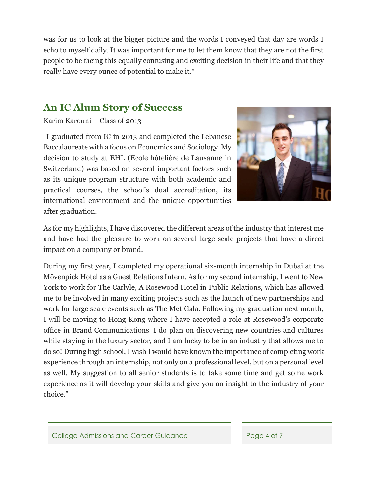was for us to look at the bigger picture and the words I conveyed that day are words I echo to myself daily. It was important for me to let them know that they are not the first people to be facing this equally confusing and exciting decision in their life and that they really have every ounce of potential to make it."

## **An IC Alum Story of Success**

Karim Karouni – Class of 2013

"I graduated from IC in 2013 and completed the Lebanese Baccalaureate with a focus on Economics and Sociology. My decision to study at EHL (Ecole hôtelière de Lausanne in Switzerland) was based on several important factors such as its unique program structure with both academic and practical courses, the school's dual accreditation, its international environment and the unique opportunities after graduation.



As for my highlights, I have discovered the different areas of the industry that interest me and have had the pleasure to work on several large-scale projects that have a direct impact on a company or brand.

During my first year, I completed my operational six-month internship in Dubai at the Mövenpick Hotel as a Guest Relations Intern. As for my second internship, I went to New York to work for The Carlyle, A Rosewood Hotel in Public Relations, which has allowed me to be involved in many exciting projects such as the launch of new partnerships and work for large scale events such as The Met Gala. Following my graduation next month, I will be moving to Hong Kong where I have accepted a role at Rosewood's corporate office in Brand Communications. I do plan on discovering new countries and cultures while staying in the luxury sector, and I am lucky to be in an industry that allows me to do so! During high school, I wish I would have known the importance of completing work experience through an internship, not only on a professional level, but on a personal level as well. My suggestion to all senior students is to take some time and get some work experience as it will develop your skills and give you an insight to the industry of your choice."

College Admissions and Career Guidance Page 4 of 7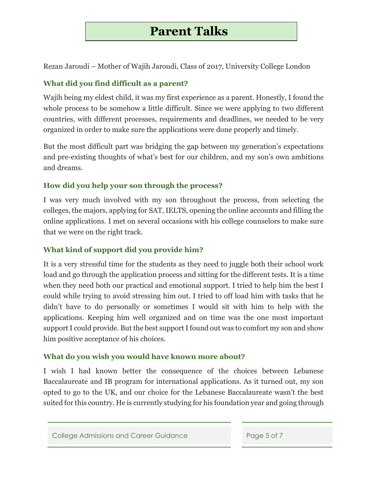# **Parent Talks**

Rezan Jaroudi – Mother of Wajih Jaroudi, Class of 2017, University College London

#### **What did you find difficult as a parent?**

Wajih being my eldest child, it was my first experience as a parent. Honestly, I found the whole process to be somehow a little difficult. Since we were applying to two different countries, with different processes, requirements and deadlines, we needed to be very organized in order to make sure the applications were done properly and timely.

But the most difficult part was bridging the gap between my generation's expectations and pre-existing thoughts of what's best for our children, and my son's own ambitions and dreams.

### **How did you help your son through the process?**

I was very much involved with my son throughout the process, from selecting the colleges, the majors, applying for SAT, IELTS, opening the online accounts and filling the online applications. I met on several occasions with his college counselors to make sure that we were on the right track.

### **What kind of support did you provide him?**

It is a very stressful time for the students as they need to juggle both their school work load and go through the application process and sitting for the different tests. It is a time when they need both our practical and emotional support. I tried to help him the best I could while trying to avoid stressing him out. I tried to off load him with tasks that he didn't have to do personally or sometimes I would sit with him to help with the applications. Keeping him well organized and on time was the one most important support I could provide. But the best support I found out was to comfort my son and show him positive acceptance of his choices.

#### **What do you wish you would have known more about?**

I wish I had known better the consequence of the choices between Lebanese Baccalaureate and IB program for international applications. As it turned out, my son opted to go to the UK, and our choice for the Lebanese Baccalaureate wasn't the best suited for this country. He is currently studying for his foundation year and going through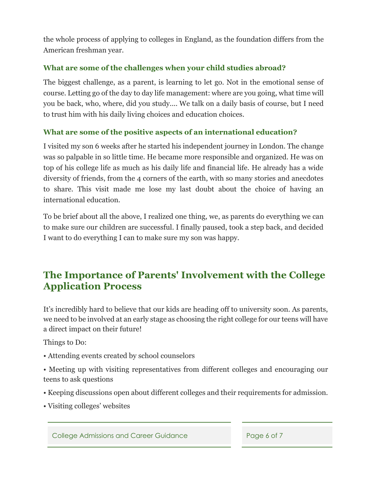the whole process of applying to colleges in England, as the foundation differs from the American freshman year.

### **What are some of the challenges when your child studies abroad?**

The biggest challenge, as a parent, is learning to let go. Not in the emotional sense of course. Letting go of the day to day life management: where are you going, what time will you be back, who, where, did you study.... We talk on a daily basis of course, but I need to trust him with his daily living choices and education choices.

### **What are some of the positive aspects of an international education?**

I visited my son 6 weeks after he started his independent journey in London. The change was so palpable in so little time. He became more responsible and organized. He was on top of his college life as much as his daily life and financial life. He already has a wide diversity of friends, from the 4 corners of the earth, with so many stories and anecdotes to share. This visit made me lose my last doubt about the choice of having an international education.

To be brief about all the above, I realized one thing, we, as parents do everything we can to make sure our children are successful. I finally paused, took a step back, and decided I want to do everything I can to make sure my son was happy.

## **The Importance of Parents' Involvement with the College Application Process**

It's incredibly hard to believe that our kids are heading off to university soon. As parents, we need to be involved at an early stage as choosing the right college for our teens will have a direct impact on their future!

Things to Do:

- Attending events created by school counselors
- Meeting up with visiting representatives from different colleges and encouraging our teens to ask questions
- Keeping discussions open about different colleges and their requirements for admission.
- Visiting colleges' websites

College Admissions and Career Guidance Page 6 of 7